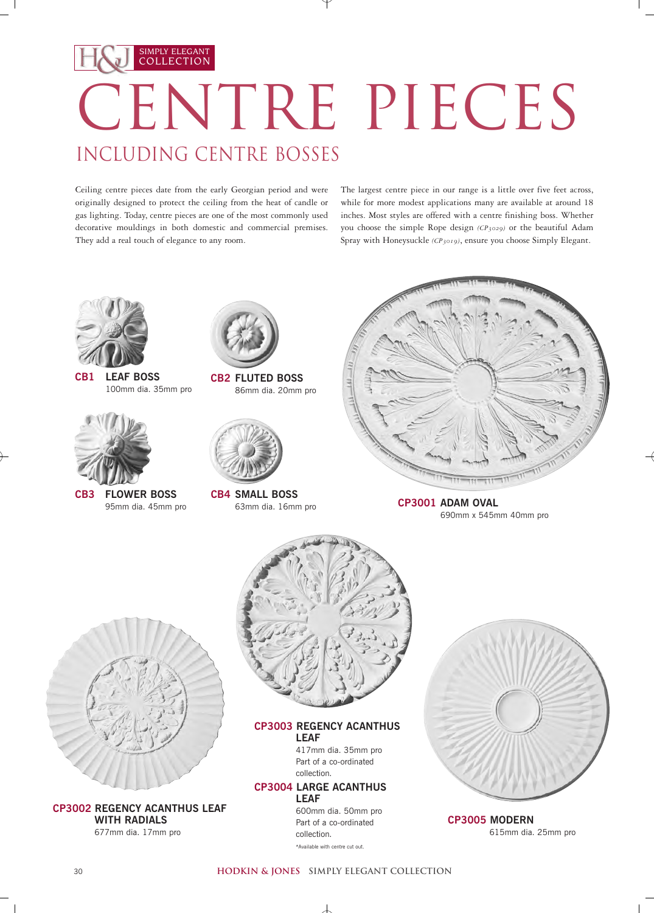## SIMPLY ELEGANT COLLECTION CENTRE PIECES INCLUDING CENTRE BOSSES

Ceiling centre pieces date from the early Georgian period and were originally designed to protect the ceiling from the heat of candle or gas lighting. Today, centre pieces are one of the most commonly used decorative mouldings in both domestic and commercial premises. They add a real touch of elegance to any room.

The largest centre piece in our range is a little over five feet across, while for more modest applications many are available at around 18 inches. Most styles are offered with a centre finishing boss. Whether you choose the simple Rope design *(CP3029)* or the beautiful Adam Spray with Honeysuckle *(CP3019)*, ensure you choose Simply Elegant.



**CB1 LEAF BOSS** 100mm dia. 35mm pro



**CB3 FLOWER BOSS** 95mm dia. 45mm pro



**CB2 FLUTED BOSS** 86mm dia. 20mm pro



**CB4 SMALL BOSS** 63mm dia. 16mm pro



**CP3001 ADAM OVAL** 690mm x 545mm 40mm pro



**CP3002 REGENCY ACANTHUS LEAF WITH RADIALS** 677mm dia. 17mm pro



## **CP3003 REGENCY ACANTHUS LEAF**

417mm dia. 35mm pro Part of a co-ordinated collection.

## **CP3004 LARGE ACANTHUS LEAF**

600mm dia. 50mm pro Part of a co-ordinated collection. \*Available with centre cut out.



**CP3005 MODERN** 615mm dia. 25mm pro

## **hodkin & jones simply elegant collection**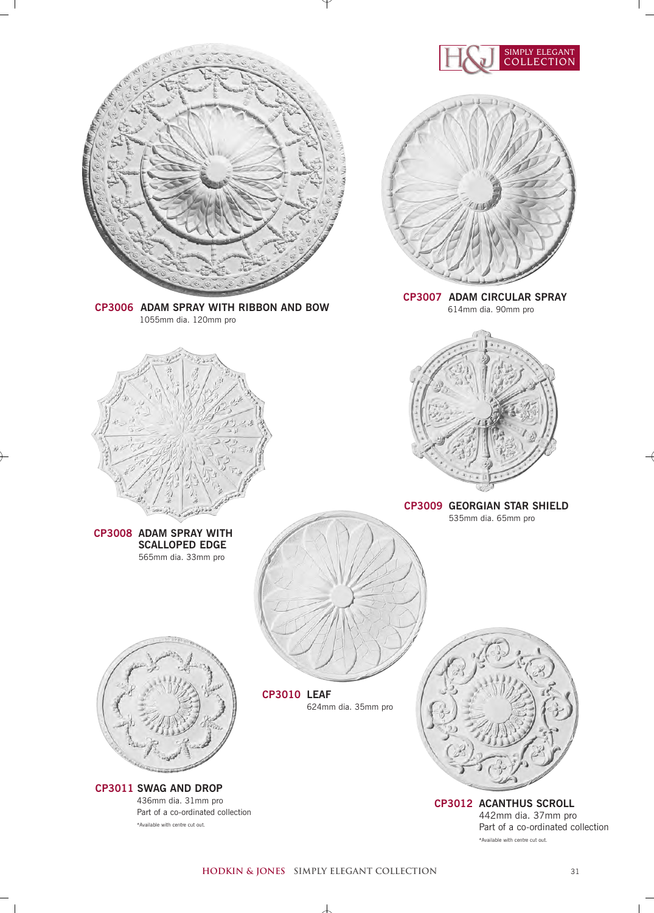

**hodkin & jones simply elegant collection** 31

 $\overline{\phantom{a}}$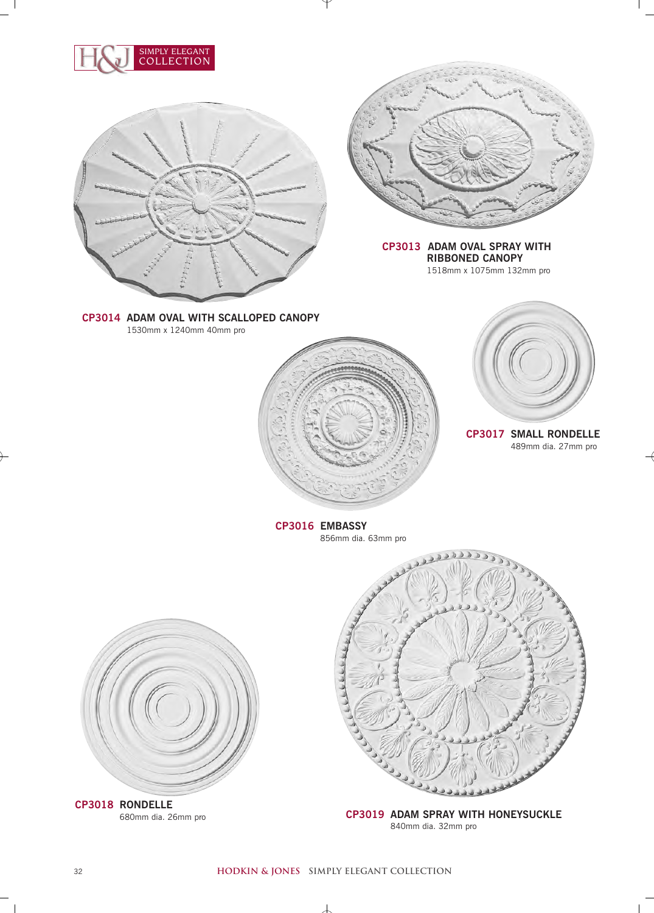





**CP3013 ADAM OVAL SPRAY WITH RIBBONED CANOPY** 1518mm x 1075mm 132mm pro

**CP3014 ADAM OVAL WITH SCALLOPED CANOPY** 1530mm x 1240mm 40mm pro



**CP3017 SMALL RONDELLE**  489mm dia. 27mm pro

**CP3016 EMBASSY**  856mm dia. 63mm pro



**CP3019 ADAM SPRAY WITH HONEYSUCKLE**  840mm dia. 32mm pro



680mm dia. 26mm pro

丄

 $\mathbb{R}$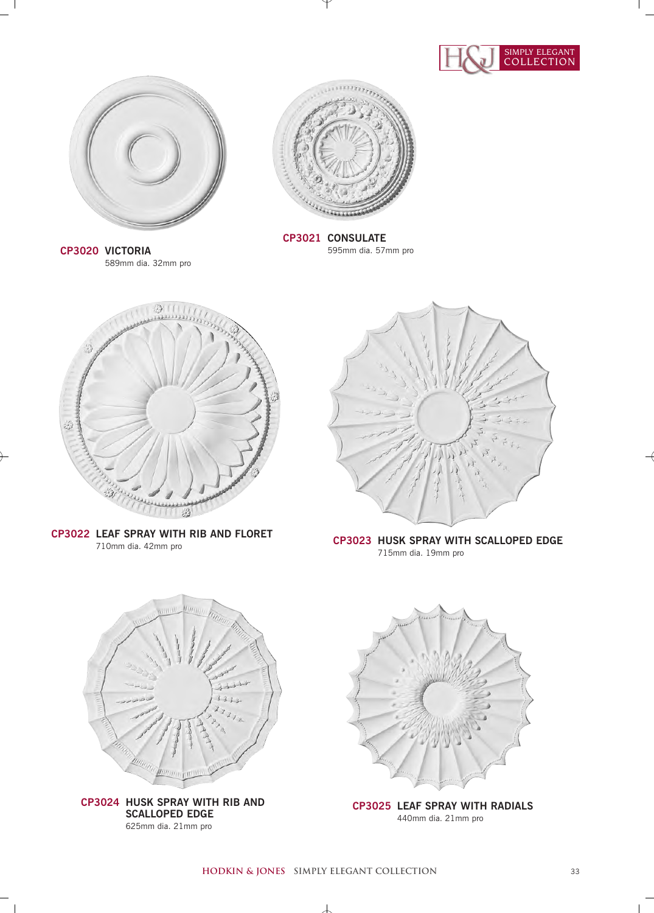



**CP3020 VICTORIA** 589mm dia. 32mm pro



**CP3021 CONSULATE** 595mm dia. 57mm pro



**CP3022 LEAF SPRAY WITH RIB AND FLORET**



710mm dia. 42mm pro **CP3023 HUSK SPRAY WITH SCALLOPED EDGE** 715mm dia. 19mm pro



**CP3024 HUSK SPRAY WITH RIB AND SCALLOPED EDGE**  625mm dia. 21mm pro

 $\Box$ 



**CP3025 LEAF SPRAY WITH RADIALS** 440mm dia. 21mm pro

 $\perp$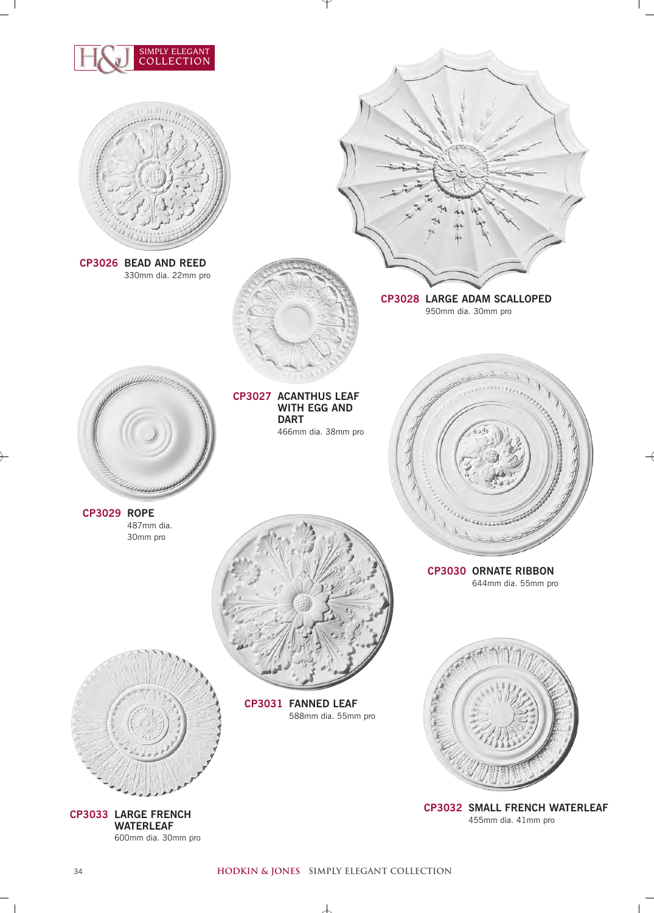

 $\overline{\phantom{a}}$